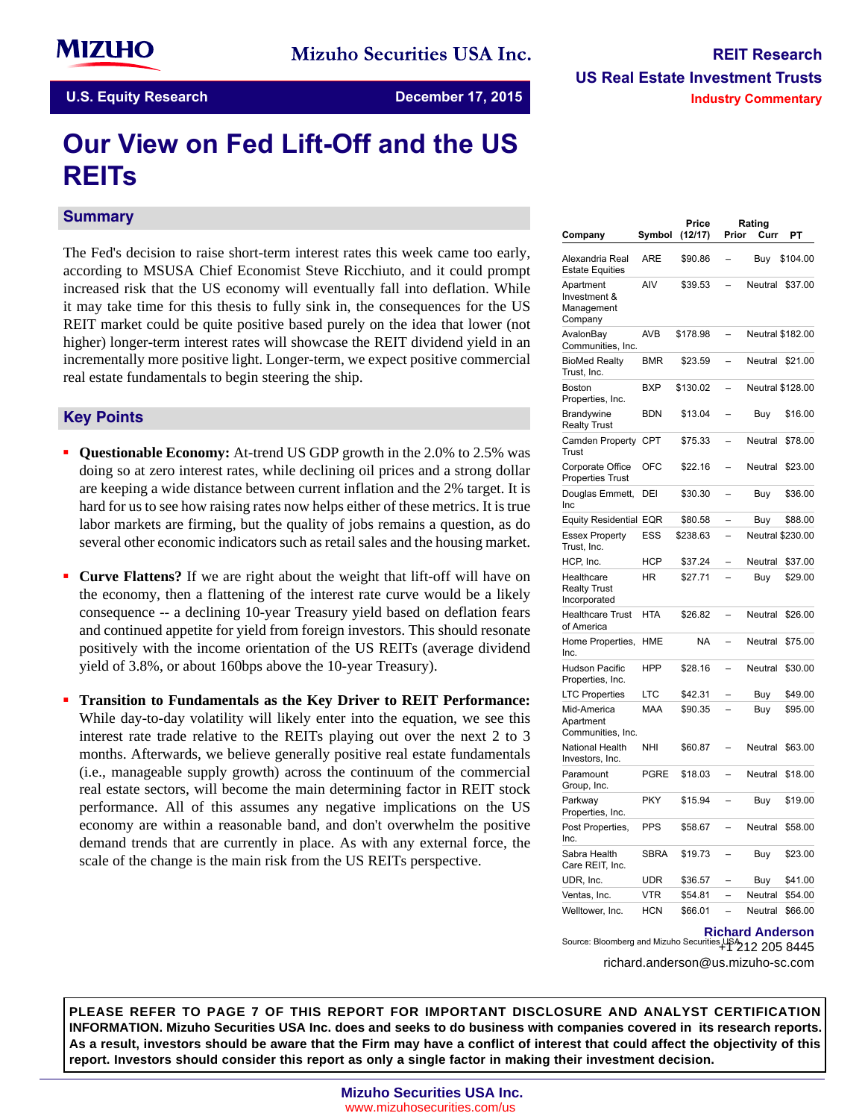# **Our View on Fed Lift-Off and the US REITs**

#### **Summary**

The Fed's decision to raise short-term interest rates this week came too early, according to MSUSA Chief Economist Steve Ricchiuto, and it could prompt increased risk that the US economy will eventually fall into deflation. While it may take time for this thesis to fully sink in, the consequences for the US REIT market could be quite positive based purely on the idea that lower (not higher) longer-term interest rates will showcase the REIT dividend yield in an incrementally more positive light. Longer-term, we expect positive commercial real estate fundamentals to begin steering the ship.

#### **Key-Points**

- **Questionable Economy:** At-trend US GDP growth in the 2.0% to 2.5% was doing so at zero interest rates, while declining oil prices and a strong dollar are keeping a wide distance between current inflation and the 2% target. It is hard for us to see how raising rates now helps either of these metrics. It is true labor markets are firming, but the quality of jobs remains a question, as do several other economic indicators such as retail sales and the housing market.
- **Curve Flattens?** If we are right about the weight that lift-off will have on the economy, then a flattening of the interest rate curve would be a likely consequence -- a declining 10-year Treasury yield based on deflation fears and continued appetite for yield from foreign investors. This should resonate positively with the income orientation of the US REITs (average dividend yield of 3.8%, or about 160bps above the 10-year Treasury).
- **Transition to Fundamentals as the Key Driver to REIT Performance:** While day-to-day volatility will likely enter into the equation, we see this interest rate trade relative to the REITs playing out over the next 2 to 3 months. Afterwards, we believe generally positive real estate fundamentals (i.e., manageable supply growth) across the continuum of the commercial real estate sectors, will become the main determining factor in REIT stock performance. All of this assumes any negative implications on the US economy are within a reasonable band, and don't overwhelm the positive demand trends that are currently in place. As with any external force, the scale of the change is the main risk from the US REITs perspective.

| Company                                            | Symbol      | Price<br>(12/17) | Prior                    | Rating<br>Curr | PТ                      |
|----------------------------------------------------|-------------|------------------|--------------------------|----------------|-------------------------|
| Alexandria Real<br><b>Estate Equities</b>          | ARE         | \$90.86          |                          | Buy            | \$104.00                |
| Apartment<br>Investment &<br>Management<br>Company | AIV         | \$39.53          |                          | Neutral        | \$37.00                 |
| AvalonBay<br>Communities, Inc.                     | AVB         | \$178.98         | $\overline{\phantom{0}}$ |                | <b>Neutral \$182.00</b> |
| <b>BioMed Realty</b><br>Trust, Inc.                | <b>BMR</b>  | \$23.59          |                          | Neutral        | \$21.00                 |
| <b>Boston</b><br>Properties, Inc.                  | <b>BXP</b>  | \$130.02         |                          |                | <b>Neutral \$128.00</b> |
| Brandywine<br><b>Realty Trust</b>                  | <b>BDN</b>  | \$13.04          |                          | Buy            | \$16.00                 |
| Camden Property<br>Trust                           | <b>CPT</b>  | \$75.33          |                          | Neutral        | \$78.00                 |
| Corporate Office<br><b>Properties Trust</b>        | OFC         | \$22.16          |                          | Neutral        | \$23.00                 |
| Douglas Emmett,<br>Inc                             | DEI         | \$30.30          |                          | Buy            | \$36.00                 |
| <b>Equity Residential</b>                          | EQR         | \$80.58          |                          | Buy            | \$88.00                 |
| <b>Essex Property</b><br>Trust, Inc.               | ESS         | \$238.63         |                          |                | <b>Neutral \$230.00</b> |
| HCP, Inc.                                          | <b>HCP</b>  | \$37.24          |                          | Neutral        | \$37.00                 |
| Healthcare<br><b>Realty Trust</b><br>Incorporated  | ΗR          | \$27.71          |                          | Buy            | \$29.00                 |
| <b>Healthcare Trust</b><br>of America              | HTA         | \$26.82          |                          | Neutral        | \$26.00                 |
| Home Properties,<br>Inc.                           | HME         | NA               |                          | Neutral        | \$75.00                 |
| <b>Hudson Pacific</b><br>Properties, Inc.          | <b>HPP</b>  | \$28.16          |                          | Neutral        | \$30.00                 |
| <b>LTC Properties</b>                              | LTC         | \$42.31          |                          | Buy            | \$49.00                 |
| Mid-America<br>Apartment<br>Communities, Inc.      | MAA         | \$90.35          |                          | Buy            | \$95.00                 |
| <b>National Health</b><br>Investors, Inc.          | NHI         | \$60.87          |                          | Neutral        | \$63.00                 |
| Paramount<br>Group, Inc.                           | PGRE        | \$18.03          |                          | Neutral        | \$18.00                 |
| Parkway<br>Properties, Inc.                        | PKY         | \$15.94          |                          | Buy            | \$19.00                 |
| Post Properties,<br>Inc.                           | <b>PPS</b>  | \$58.67          |                          | Neutral        | \$58.00                 |
| Sabra Health<br>Care REIT, Inc.                    | <b>SBRA</b> | \$19.73          |                          | Buy            | \$23.00                 |
| UDR, Inc.                                          | UDR         | \$36.57          |                          | Buy            | \$41.00                 |
| Ventas, Inc.                                       | <b>VTR</b>  | \$54.81          |                          | Neutral        | \$54.00                 |
| Welltower, Inc.                                    | <b>HCN</b>  | \$66.01          |                          | Neutral        | \$66.00                 |

### **Richard Anderson**

+1 212 205 8445 Source: Bloomberg and Mizuho Securities USA richard.anderson@us.mizuho-sc.com

**PLEASE REFER TO PAGE 7 OF THIS REPORT FOR IMPORTANT DISCLOSURE AND ANALYST CERTIFICATION INFORMATION. Mizuho Securities USA Inc. does and seeks to do business with companies covered in its research reports. As a result, investors should be aware that the Firm may have a conflict of interest that could affect the objectivity of this report. Investors should consider this report as only a single factor in making their investment decision.**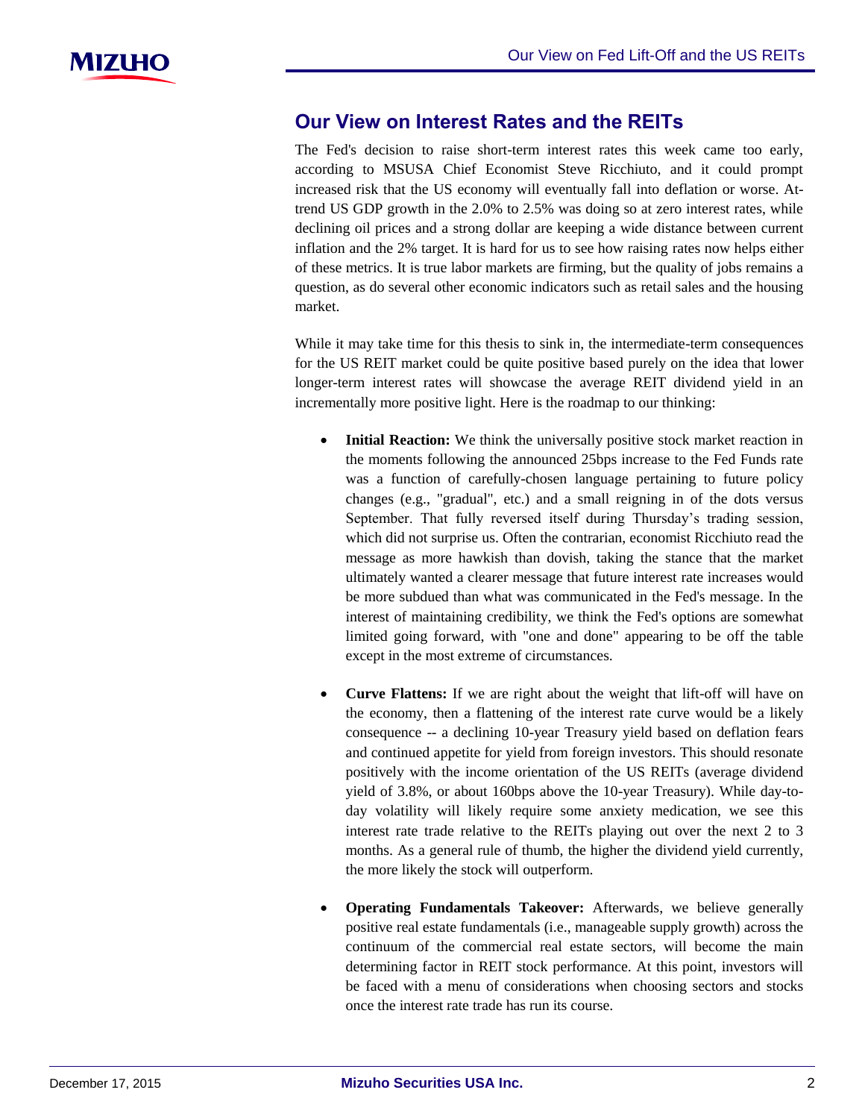# **Our View on Interest Rates and the REITs**

The Fed's decision to raise short-term interest rates this week came too early, according to MSUSA Chief Economist Steve Ricchiuto, and it could prompt increased risk that the US economy will eventually fall into deflation or worse. Attrend US GDP growth in the 2.0% to 2.5% was doing so at zero interest rates, while declining oil prices and a strong dollar are keeping a wide distance between current inflation and the 2% target. It is hard for us to see how raising rates now helps either of these metrics. It is true labor markets are firming, but the quality of jobs remains a question, as do several other economic indicators such as retail sales and the housing market.

While it may take time for this thesis to sink in, the intermediate-term consequences for the US REIT market could be quite positive based purely on the idea that lower longer-term interest rates will showcase the average REIT dividend yield in an incrementally more positive light. Here is the roadmap to our thinking:

- **Initial Reaction:** We think the universally positive stock market reaction in the moments following the announced 25bps increase to the Fed Funds rate was a function of carefully-chosen language pertaining to future policy changes (e.g., "gradual", etc.) and a small reigning in of the dots versus September. That fully reversed itself during Thursday's trading session, which did not surprise us. Often the contrarian, economist Ricchiuto read the message as more hawkish than dovish, taking the stance that the market ultimately wanted a clearer message that future interest rate increases would be more subdued than what was communicated in the Fed's message. In the interest of maintaining credibility, we think the Fed's options are somewhat limited going forward, with "one and done" appearing to be off the table except in the most extreme of circumstances.
- **Curve Flattens:** If we are right about the weight that lift-off will have on the economy, then a flattening of the interest rate curve would be a likely consequence -- a declining 10-year Treasury yield based on deflation fears and continued appetite for yield from foreign investors. This should resonate positively with the income orientation of the US REITs (average dividend yield of 3.8%, or about 160bps above the 10-year Treasury). While day-today volatility will likely require some anxiety medication, we see this interest rate trade relative to the REITs playing out over the next 2 to 3 months. As a general rule of thumb, the higher the dividend yield currently, the more likely the stock will outperform.
- **Operating Fundamentals Takeover:** Afterwards, we believe generally positive real estate fundamentals (i.e., manageable supply growth) across the continuum of the commercial real estate sectors, will become the main determining factor in REIT stock performance. At this point, investors will be faced with a menu of considerations when choosing sectors and stocks once the interest rate trade has run its course.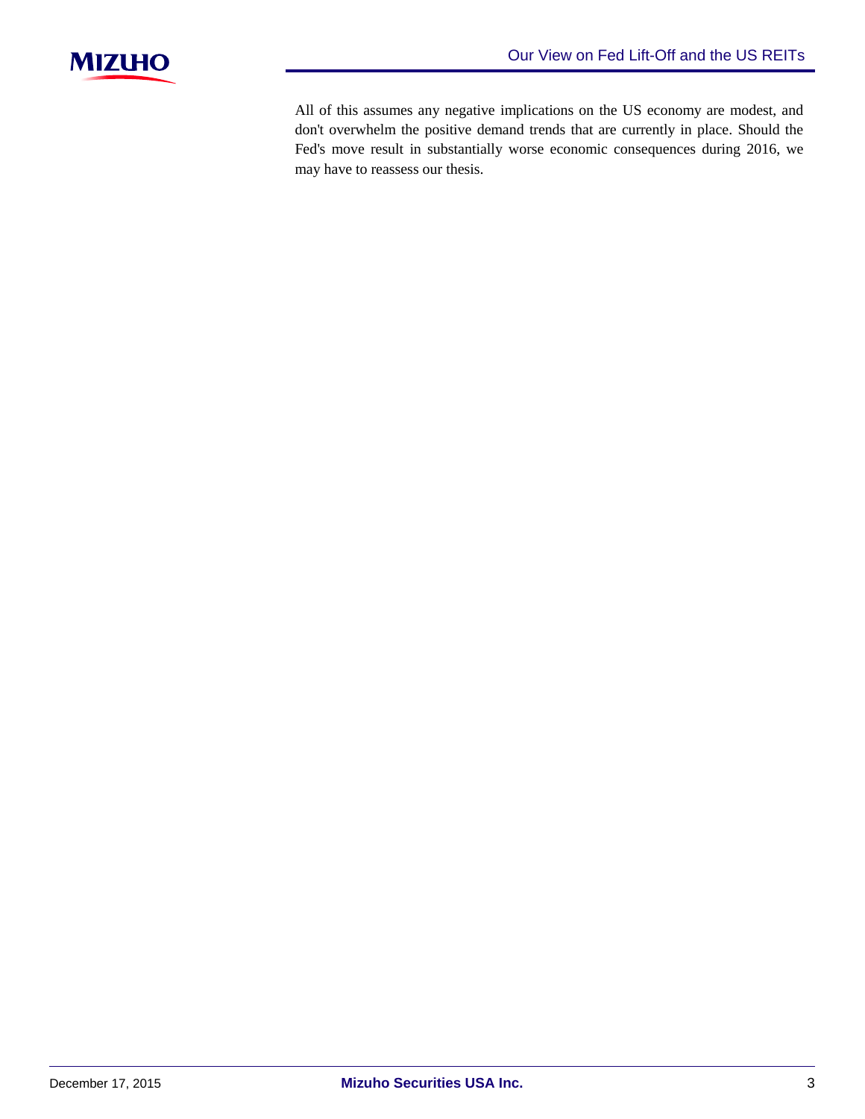

All of this assumes any negative implications on the US economy are modest, and don't overwhelm the positive demand trends that are currently in place. Should the Fed's move result in substantially worse economic consequences during 2016, we may have to reassess our thesis.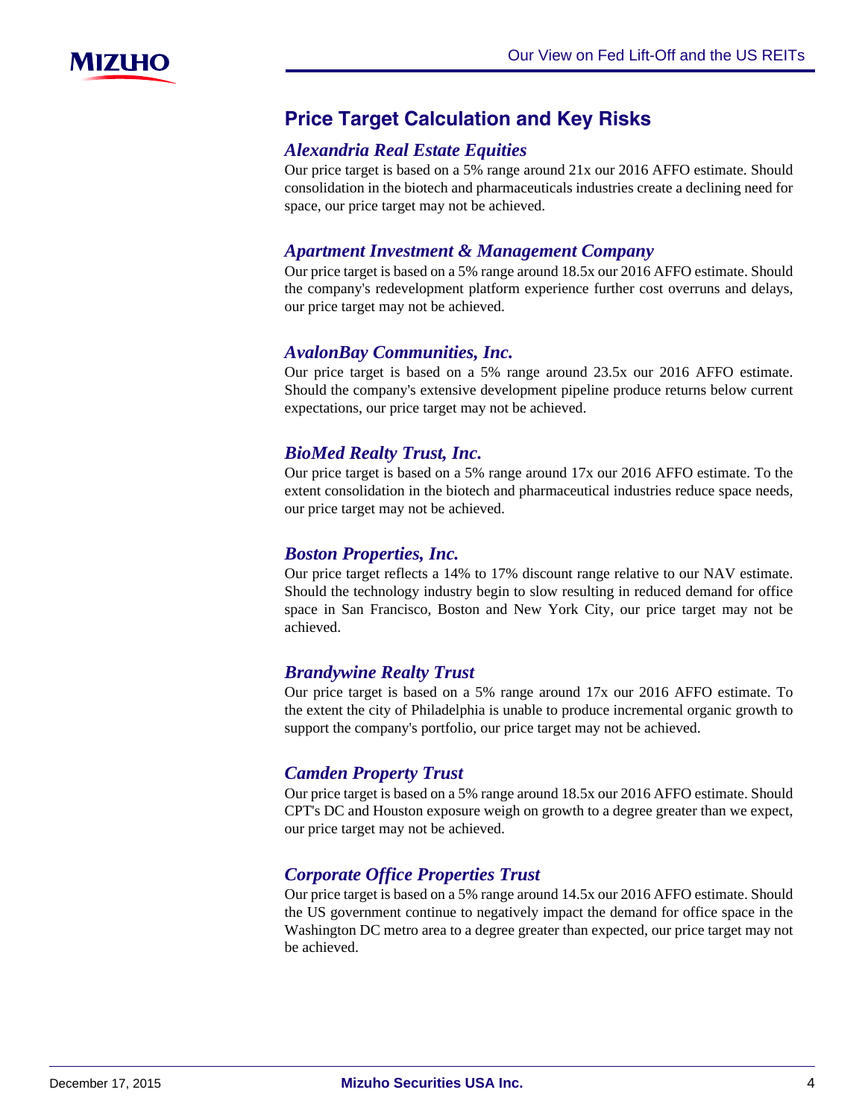

# **Price-Target-Calculation-and-Key-Risks**

# *Alexandria Real Estate Equities*

Our price target is based on a 5% range around 21x our 2016 AFFO estimate. Should consolidation in the biotech and pharmaceuticals industries create a declining need for space, our price target may not be achieved.

### *Apartment Investment & Management Company*

Our price target is based on a 5% range around 18.5x our 2016 AFFO estimate. Should the company's redevelopment platform experience further cost overruns and delays, our price target may not be achieved.

### *AvalonBay Communities, Inc.*

Our price target is based on a 5% range around 23.5x our 2016 AFFO estimate. Should the company's extensive development pipeline produce returns below current expectations, our price target may not be achieved.

# *BioMed Realty Trust, Inc.*

Our price target is based on a 5% range around 17x our 2016 AFFO estimate. To the extent consolidation in the biotech and pharmaceutical industries reduce space needs, our price target may not be achieved.

# *Boston Properties, Inc.*

Our price target reflects a 14% to 17% discount range relative to our NAV estimate. Should the technology industry begin to slow resulting in reduced demand for office space in San Francisco, Boston and New York City, our price target may not be achieved.

# *Brandywine Realty Trust*

Our price target is based on a 5% range around 17x our 2016 AFFO estimate. To the extent the city of Philadelphia is unable to produce incremental organic growth to support the company's portfolio, our price target may not be achieved.

# *Camden Property Trust*

Our price target is based on a 5% range around 18.5x our 2016 AFFO estimate. Should CPT's DC and Houston exposure weigh on growth to a degree greater than we expect, our price target may not be achieved.

# *Corporate Office Properties Trust*

Our price target is based on a 5% range around 14.5x our 2016 AFFO estimate. Should the US government continue to negatively impact the demand for office space in the Washington DC metro area to a degree greater than expected, our price target may not be achieved.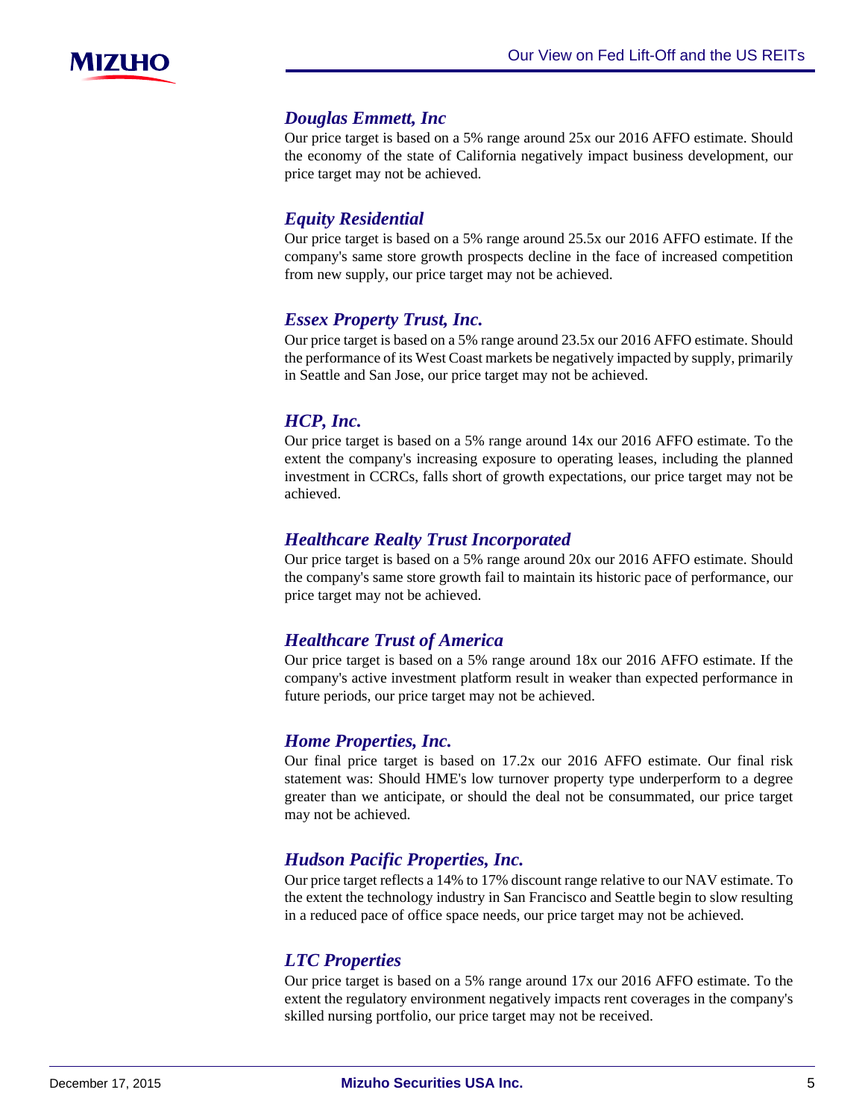

#### *Douglas Emmett, Inc*

Our price target is based on a 5% range around 25x our 2016 AFFO estimate. Should the economy of the state of California negatively impact business development, our price target may not be achieved.

### *Equity Residential*

Our price target is based on a 5% range around 25.5x our 2016 AFFO estimate. If the company's same store growth prospects decline in the face of increased competition from new supply, our price target may not be achieved.

### *Essex Property Trust, Inc.*

Our price target is based on a 5% range around 23.5x our 2016 AFFO estimate. Should the performance of its West Coast markets be negatively impacted by supply, primarily in Seattle and San Jose, our price target may not be achieved.

### *HCP, Inc.*

Our price target is based on a 5% range around 14x our 2016 AFFO estimate. To the extent the company's increasing exposure to operating leases, including the planned investment in CCRCs, falls short of growth expectations, our price target may not be achieved.

### *Healthcare Realty Trust Incorporated*

Our price target is based on a 5% range around 20x our 2016 AFFO estimate. Should the company's same store growth fail to maintain its historic pace of performance, our price target may not be achieved.

# *Healthcare Trust of America*

Our price target is based on a 5% range around 18x our 2016 AFFO estimate. If the company's active investment platform result in weaker than expected performance in future periods, our price target may not be achieved.

# *Home Properties, Inc.*

Our final price target is based on 17.2x our 2016 AFFO estimate. Our final risk statement was: Should HME's low turnover property type underperform to a degree greater than we anticipate, or should the deal not be consummated, our price target may not be achieved.

# *Hudson Pacific Properties, Inc.*

Our price target reflects a 14% to 17% discount range relative to our NAV estimate. To the extent the technology industry in San Francisco and Seattle begin to slow resulting in a reduced pace of office space needs, our price target may not be achieved.

### *LTC Properties*

Our price target is based on a 5% range around 17x our 2016 AFFO estimate. To the extent the regulatory environment negatively impacts rent coverages in the company's skilled nursing portfolio, our price target may not be received.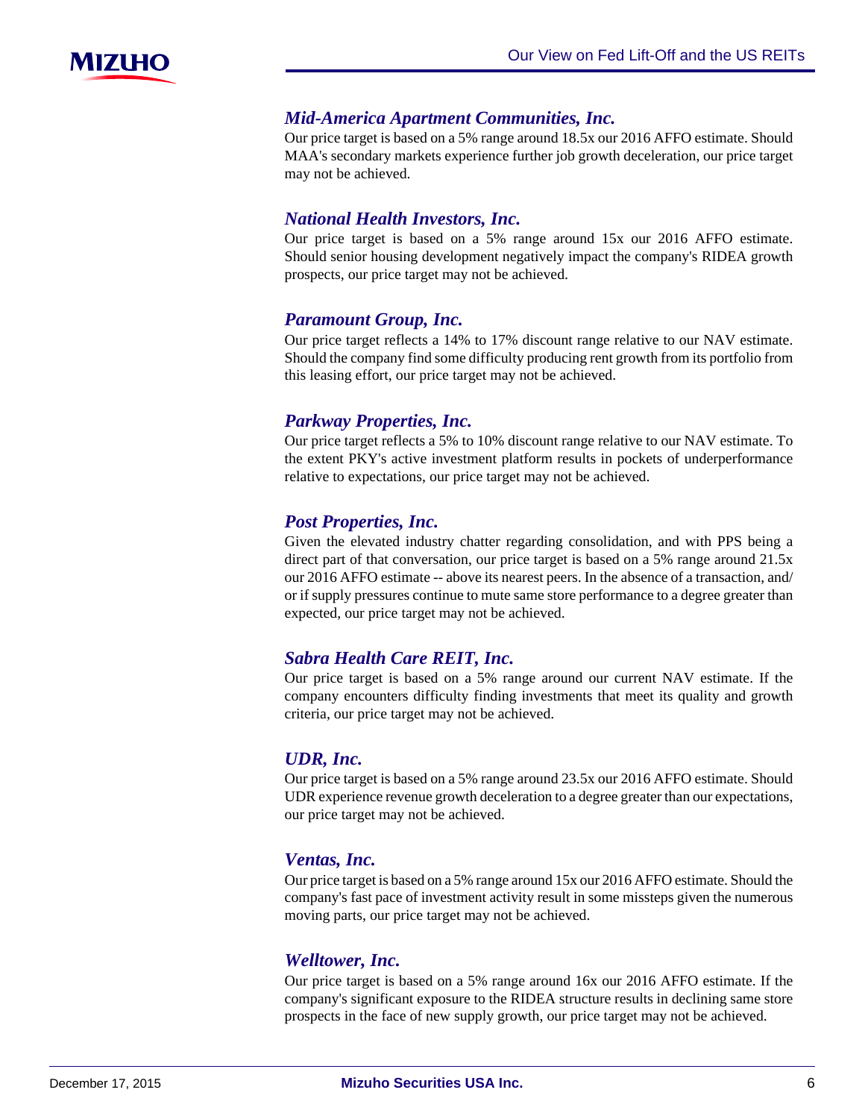

#### *Mid-America Apartment Communities, Inc.*

Our price target is based on a 5% range around 18.5x our 2016 AFFO estimate. Should MAA's secondary markets experience further job growth deceleration, our price target may not be achieved.

#### *National Health Investors, Inc.*

Our price target is based on a 5% range around 15x our 2016 AFFO estimate. Should senior housing development negatively impact the company's RIDEA growth prospects, our price target may not be achieved.

#### *Paramount Group, Inc.*

Our price target reflects a 14% to 17% discount range relative to our NAV estimate. Should the company find some difficulty producing rent growth from its portfolio from this leasing effort, our price target may not be achieved.

#### *Parkway Properties, Inc.*

Our price target reflects a 5% to 10% discount range relative to our NAV estimate. To the extent PKY's active investment platform results in pockets of underperformance relative to expectations, our price target may not be achieved.

#### *Post Properties, Inc.*

Given the elevated industry chatter regarding consolidation, and with PPS being a direct part of that conversation, our price target is based on a 5% range around 21.5x our 2016 AFFO estimate -- above its nearest peers. In the absence of a transaction, and/ or if supply pressures continue to mute same store performance to a degree greater than expected, our price target may not be achieved.

### *Sabra Health Care REIT, Inc.*

Our price target is based on a 5% range around our current NAV estimate. If the company encounters difficulty finding investments that meet its quality and growth criteria, our price target may not be achieved.

#### *UDR, Inc.*

Our price target is based on a 5% range around 23.5x our 2016 AFFO estimate. Should UDR experience revenue growth deceleration to a degree greater than our expectations, our price target may not be achieved.

#### *Ventas, Inc.*

Our price target is based on a 5% range around 15x our 2016 AFFO estimate. Should the company's fast pace of investment activity result in some missteps given the numerous moving parts, our price target may not be achieved.

#### *Welltower, Inc.*

Our price target is based on a 5% range around 16x our 2016 AFFO estimate. If the company's significant exposure to the RIDEA structure results in declining same store prospects in the face of new supply growth, our price target may not be achieved.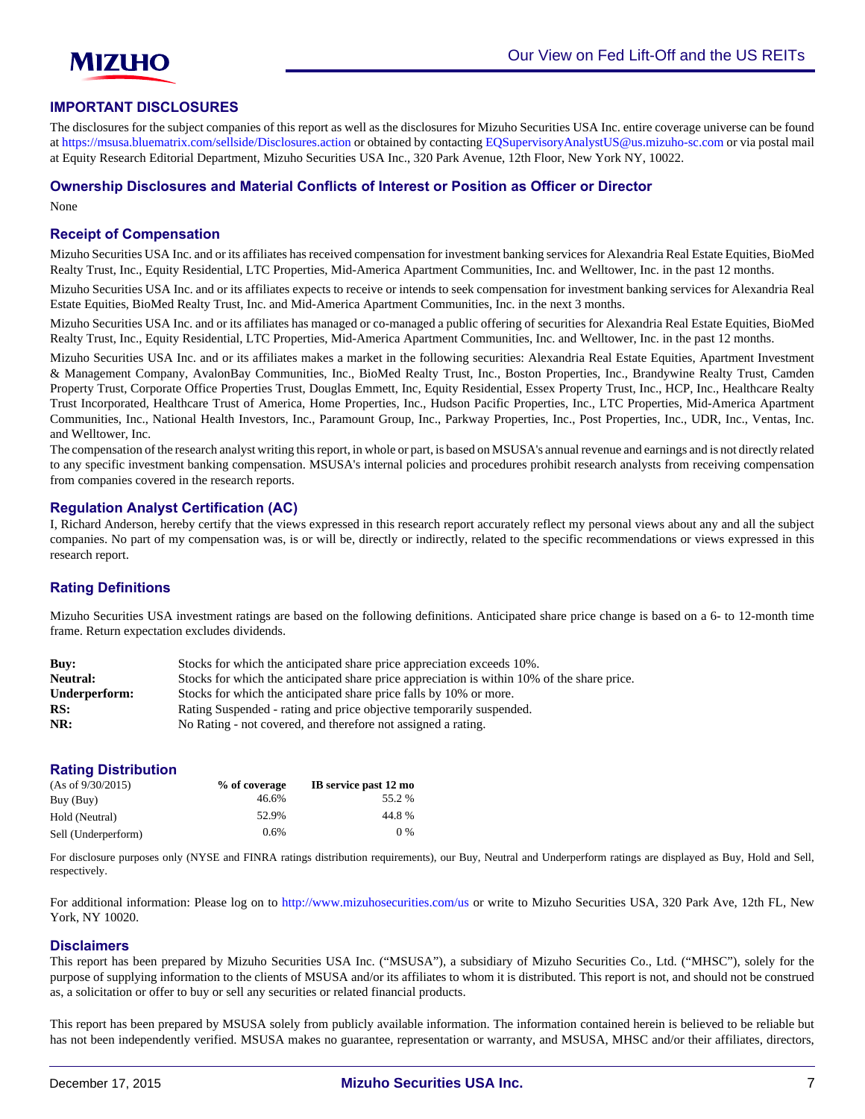

#### **IMPORTANT DISCLOSURES**

The disclosures for the subject companies of this report as well as the disclosures for Mizuho Securities USA Inc. entire coverage universe can be found at<https://msusa.bluematrix.com/sellside/Disclosures.action>or obtained by contacting [EQSupervisoryAnalystUS@us.mizuho-sc.com](mailto:EQSupervisoryAnalystUS@us.mizuho-sc.com) or via postal mail at Equity Research Editorial Department, Mizuho Securities USA Inc., 320 Park Avenue, 12th Floor, New York NY, 10022.

#### **Ownership Disclosures and Material Conflicts of Interest or Position as Officer or Director**

None

#### **Receipt of Compensation**

Mizuho Securities USA Inc. and or its affiliates has received compensation for investment banking services for Alexandria Real Estate Equities, BioMed Realty Trust, Inc., Equity Residential, LTC Properties, Mid-America Apartment Communities, Inc. and Welltower, Inc. in the past 12 months.

Mizuho Securities USA Inc. and or its affiliates expects to receive or intends to seek compensation for investment banking services for Alexandria Real Estate Equities, BioMed Realty Trust, Inc. and Mid-America Apartment Communities, Inc. in the next 3 months.

Mizuho Securities USA Inc. and or its affiliates has managed or co-managed a public offering of securities for Alexandria Real Estate Equities, BioMed Realty Trust, Inc., Equity Residential, LTC Properties, Mid-America Apartment Communities, Inc. and Welltower, Inc. in the past 12 months.

Mizuho Securities USA Inc. and or its affiliates makes a market in the following securities: Alexandria Real Estate Equities, Apartment Investment & Management Company, AvalonBay Communities, Inc., BioMed Realty Trust, Inc., Boston Properties, Inc., Brandywine Realty Trust, Camden Property Trust, Corporate Office Properties Trust, Douglas Emmett, Inc, Equity Residential, Essex Property Trust, Inc., HCP, Inc., Healthcare Realty Trust Incorporated, Healthcare Trust of America, Home Properties, Inc., Hudson Pacific Properties, Inc., LTC Properties, Mid-America Apartment Communities, Inc., National Health Investors, Inc., Paramount Group, Inc., Parkway Properties, Inc., Post Properties, Inc., UDR, Inc., Ventas, Inc. and Welltower, Inc.

The compensation of the research analyst writing this report, in whole or part, is based on MSUSA's annual revenue and earnings and is not directly related to any specific investment banking compensation. MSUSA's internal policies and procedures prohibit research analysts from receiving compensation from companies covered in the research reports.

#### **Regulation Analyst Certification (AC)**

I, Richard Anderson, hereby certify that the views expressed in this research report accurately reflect my personal views about any and all the subject companies. No part of my compensation was, is or will be, directly or indirectly, related to the specific recommendations or views expressed in this research report.

#### **Rating Definitions**

Mizuho Securities USA investment ratings are based on the following definitions. Anticipated share price change is based on a 6- to 12-month time frame. Return expectation excludes dividends.

| Buv:          | Stocks for which the anticipated share price appreciation exceeds 10%.                      |
|---------------|---------------------------------------------------------------------------------------------|
| Neutral:      | Stocks for which the anticipated share price appreciation is within 10% of the share price. |
| Underperform: | Stocks for which the anticipated share price falls by 10% or more.                          |
| RS:           | Rating Suspended - rating and price objective temporarily suspended.                        |
| NR:           | No Rating - not covered, and therefore not assigned a rating.                               |

#### **Rating Distribution**

| (As of 9/30/2015)   | % of coverage | IB service past 12 mo |
|---------------------|---------------|-----------------------|
| Buy (Buy)           | 46.6%         | 55.2 %                |
| Hold (Neutral)      | 52.9%         | 44.8%                 |
| Sell (Underperform) | 0.6%          | $0\%$                 |

For disclosure purposes only (NYSE and FINRA ratings distribution requirements), our Buy, Neutral and Underperform ratings are displayed as Buy, Hold and Sell, respectively.

For additional information: Please log on to <http://www.mizuhosecurities.com/us> or write to Mizuho Securities USA, 320 Park Ave, 12th FL, New York, NY 10020.

#### **Disclaimers**

This report has been prepared by Mizuho Securities USA Inc. ("MSUSA"), a subsidiary of Mizuho Securities Co., Ltd. ("MHSC"), solely for the purpose of supplying information to the clients of MSUSA and/or its affiliates to whom it is distributed. This report is not, and should not be construed as, a solicitation or offer to buy or sell any securities or related financial products.

This report has been prepared by MSUSA solely from publicly available information. The information contained herein is believed to be reliable but has not been independently verified. MSUSA makes no guarantee, representation or warranty, and MSUSA, MHSC and/or their affiliates, directors,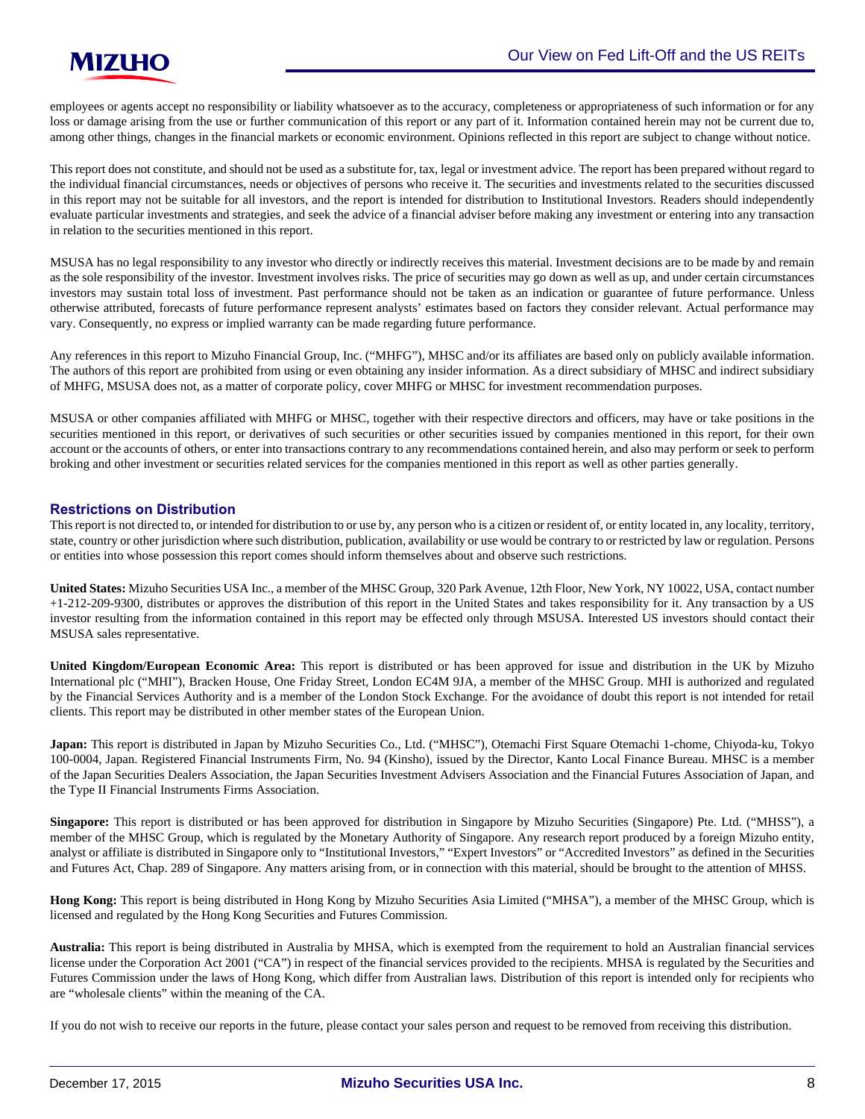employees or agents accept no responsibility or liability whatsoever as to the accuracy, completeness or appropriateness of such information or for any loss or damage arising from the use or further communication of this report or any part of it. Information contained herein may not be current due to, among other things, changes in the financial markets or economic environment. Opinions reflected in this report are subject to change without notice.

This report does not constitute, and should not be used as a substitute for, tax, legal or investment advice. The report has been prepared without regard to the individual financial circumstances, needs or objectives of persons who receive it. The securities and investments related to the securities discussed in this report may not be suitable for all investors, and the report is intended for distribution to Institutional Investors. Readers should independently evaluate particular investments and strategies, and seek the advice of a financial adviser before making any investment or entering into any transaction in relation to the securities mentioned in this report.

MSUSA has no legal responsibility to any investor who directly or indirectly receives this material. Investment decisions are to be made by and remain as the sole responsibility of the investor. Investment involves risks. The price of securities may go down as well as up, and under certain circumstances investors may sustain total loss of investment. Past performance should not be taken as an indication or guarantee of future performance. Unless otherwise attributed, forecasts of future performance represent analysts' estimates based on factors they consider relevant. Actual performance may vary. Consequently, no express or implied warranty can be made regarding future performance.

Any references in this report to Mizuho Financial Group, Inc. ("MHFG"), MHSC and/or its affiliates are based only on publicly available information. The authors of this report are prohibited from using or even obtaining any insider information. As a direct subsidiary of MHSC and indirect subsidiary of MHFG, MSUSA does not, as a matter of corporate policy, cover MHFG or MHSC for investment recommendation purposes.

MSUSA or other companies affiliated with MHFG or MHSC, together with their respective directors and officers, may have or take positions in the securities mentioned in this report, or derivatives of such securities or other securities issued by companies mentioned in this report, for their own account or the accounts of others, or enter into transactions contrary to any recommendations contained herein, and also may perform or seek to perform broking and other investment or securities related services for the companies mentioned in this report as well as other parties generally.

#### **Restrictions on Distribution**

This report is not directed to, or intended for distribution to or use by, any person who is a citizen or resident of, or entity located in, any locality, territory, state, country or other jurisdiction where such distribution, publication, availability or use would be contrary to or restricted by law or regulation. Persons or entities into whose possession this report comes should inform themselves about and observe such restrictions.

**United States:** Mizuho Securities USA Inc., a member of the MHSC Group, 320 Park Avenue, 12th Floor, New York, NY 10022, USA, contact number +1-212-209-9300, distributes or approves the distribution of this report in the United States and takes responsibility for it. Any transaction by a US investor resulting from the information contained in this report may be effected only through MSUSA. Interested US investors should contact their MSUSA sales representative.

**United Kingdom/European Economic Area:** This report is distributed or has been approved for issue and distribution in the UK by Mizuho International plc ("MHI"), Bracken House, One Friday Street, London EC4M 9JA, a member of the MHSC Group. MHI is authorized and regulated by the Financial Services Authority and is a member of the London Stock Exchange. For the avoidance of doubt this report is not intended for retail clients. This report may be distributed in other member states of the European Union.

**Japan:** This report is distributed in Japan by Mizuho Securities Co., Ltd. ("MHSC"), Otemachi First Square Otemachi 1-chome, Chiyoda-ku, Tokyo 100-0004, Japan. Registered Financial Instruments Firm, No. 94 (Kinsho), issued by the Director, Kanto Local Finance Bureau. MHSC is a member of the Japan Securities Dealers Association, the Japan Securities Investment Advisers Association and the Financial Futures Association of Japan, and the Type II Financial Instruments Firms Association.

**Singapore:** This report is distributed or has been approved for distribution in Singapore by Mizuho Securities (Singapore) Pte. Ltd. ("MHSS"), a member of the MHSC Group, which is regulated by the Monetary Authority of Singapore. Any research report produced by a foreign Mizuho entity, analyst or affiliate is distributed in Singapore only to "Institutional Investors," "Expert Investors" or "Accredited Investors" as defined in the Securities and Futures Act, Chap. 289 of Singapore. Any matters arising from, or in connection with this material, should be brought to the attention of MHSS.

**Hong Kong:** This report is being distributed in Hong Kong by Mizuho Securities Asia Limited ("MHSA"), a member of the MHSC Group, which is licensed and regulated by the Hong Kong Securities and Futures Commission.

**Australia:** This report is being distributed in Australia by MHSA, which is exempted from the requirement to hold an Australian financial services license under the Corporation Act 2001 ("CA") in respect of the financial services provided to the recipients. MHSA is regulated by the Securities and Futures Commission under the laws of Hong Kong, which differ from Australian laws. Distribution of this report is intended only for recipients who are "wholesale clients" within the meaning of the CA.

If you do not wish to receive our reports in the future, please contact your sales person and request to be removed from receiving this distribution.